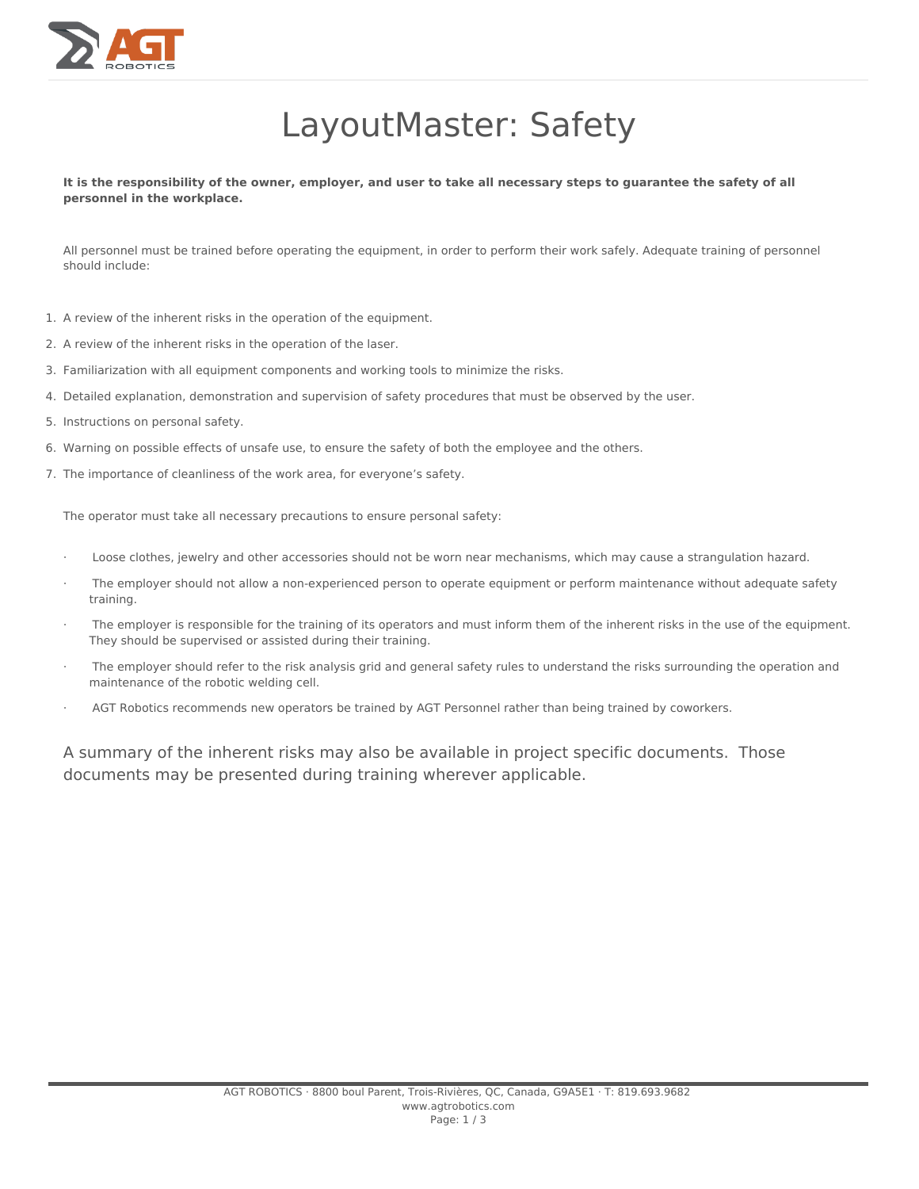

## LayoutMaster: Safety

It is the responsibility of the owner, employer, and user to take all necessary steps to guarantee the safety of all **personnel in the workplace.**

All personnel must be trained before operating the equipment, in order to perform their work safely. Adequate training of personnel should include:

- 1. A review of the inherent risks in the operation of the equipment.
- 2. A review of the inherent risks in the operation of the laser.
- 3. Familiarization with all equipment components and working tools to minimize the risks.
- 4. Detailed explanation, demonstration and supervision of safety procedures that must be observed by the user.
- 5. Instructions on personal safety.
- 6. Warning on possible effects of unsafe use, to ensure the safety of both the employee and the others.
- 7. The importance of cleanliness of the work area, for everyone's safety.

The operator must take all necessary precautions to ensure personal safety:

- · Loose clothes, jewelry and other accessories should not be worn near mechanisms, which may cause a strangulation hazard.
- The employer should not allow a non-experienced person to operate equipment or perform maintenance without adequate safety training.
- The employer is responsible for the training of its operators and must inform them of the inherent risks in the use of the equipment. They should be supervised or assisted during their training.
- The employer should refer to the risk analysis grid and general safety rules to understand the risks surrounding the operation and maintenance of the robotic welding cell.
- AGT Robotics recommends new operators be trained by AGT Personnel rather than being trained by coworkers.

A summary of the inherent risks may also be available in project specific documents. Those documents may be presented during training wherever applicable.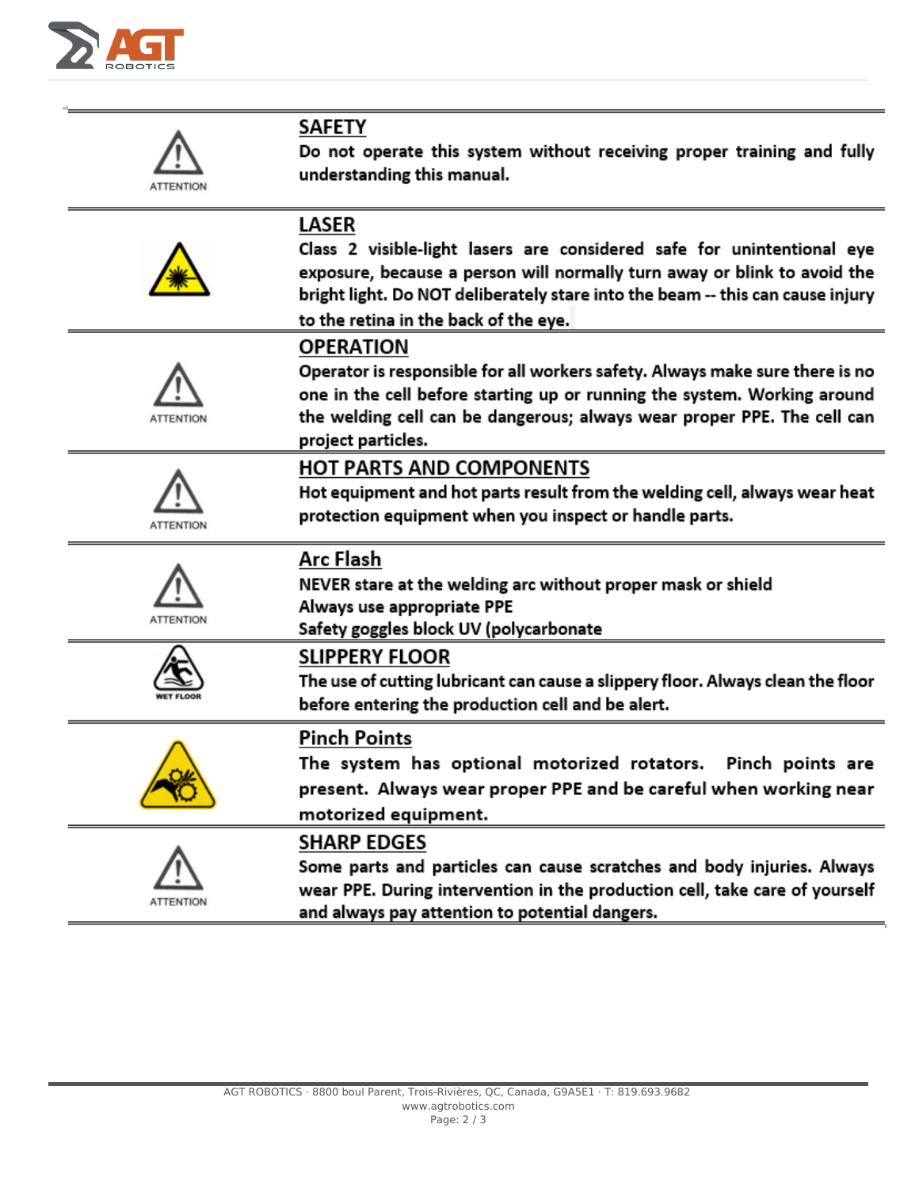

| ATTENTION        | <b>SAFETY</b><br>Do not operate this system without receiving proper training and fully<br>understanding this manual.                                                                                                                                                                  |
|------------------|----------------------------------------------------------------------------------------------------------------------------------------------------------------------------------------------------------------------------------------------------------------------------------------|
|                  | LASER<br>Class 2 visible-light lasers are considered safe for unintentional eye<br>exposure, because a person will normally turn away or blink to avoid the<br>bright light. Do NOT deliberately stare into the beam -- this can cause injury<br>to the retina in the back of the eye. |
| ATTENTION        | <b>OPERATION</b><br>Operator is responsible for all workers safety. Always make sure there is no<br>one in the cell before starting up or running the system. Working around<br>the welding cell can be dangerous; always wear proper PPE. The cell can<br>project particles.          |
| <b>ATTENTION</b> | <b>HOT PARTS AND COMPONENTS</b><br>Hot equipment and hot parts result from the welding cell, always wear heat<br>protection equipment when you inspect or handle parts.                                                                                                                |
| ATTENTION        | Arc Flash<br>NEVER stare at the welding arc without proper mask or shield<br>Always use appropriate PPE<br>Safety goggles block UV (polycarbonate                                                                                                                                      |
|                  | <b>SLIPPERY FLOOR</b><br>The use of cutting lubricant can cause a slippery floor. Always clean the floor<br>before entering the production cell and be alert.                                                                                                                          |
|                  | <b>Pinch Points</b><br>The system has optional motorized rotators. Pinch points are<br>present. Always wear proper PPE and be careful when working near<br>motorized equipment.                                                                                                        |
| ATTENTION        | <b>SHARP EDGES</b><br>Some parts and particles can cause scratches and body injuries. Always<br>wear PPE. During intervention in the production cell, take care of yourself<br>and always pay attention to potential dangers.                                                          |